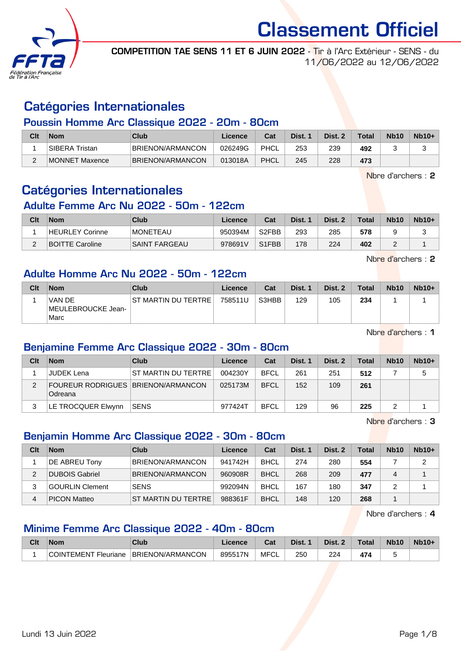

COMPETITION TAE SENS 11 ET 6 JUIN 2022 - Tir à l'Arc Extérieur - SENS - du 11/06/2022 au 12/06/2022

## Catégories Internationales

### Poussin Homme Arc Classique 2022 - 20m - 80cm

| Clt | Nom             | Club             | Licence | Cat  | Dist. 1 | Dist. 2 | <b>Total</b> | <b>Nb10</b> | $Nb10+$ |
|-----|-----------------|------------------|---------|------|---------|---------|--------------|-------------|---------|
|     | ∣SIBERA Tristan | BRIENON/ARMANCON | 026249G | PHCL | 253     | 239     | 492          |             | w       |
|     | MONNET Maxence  | BRIENON/ARMANCON | 013018A | PHCL | 245     | 228     | 473          |             |         |

Nbre d'archers : 2

## Catégories Internationales

#### Adulte Femme Arc Nu 2022 - 50m - 122cm

| Clt | <b>Nom</b>             | Club                 | Licence | Cat                | Dist. | Dist. 2 | <b>Total</b> | <b>Nb10</b> | $Nb10+$ |
|-----|------------------------|----------------------|---------|--------------------|-------|---------|--------------|-------------|---------|
|     | HEURLEY Corinne        | <b>MONETEAU</b>      | 950394M | S <sub>2</sub> FBB | 293   | 285     | 578          |             |         |
|     | <b>BOITTE Caroline</b> | <b>SAINT FARGEAU</b> | 978691V | S <sub>1</sub> FBB | 178   | 224     | 402          |             |         |

Nbre d'archers : 2

#### Adulte Homme Arc Nu 2022 - 50m - 122cm

| Clt | <b>Nom</b>                           | Club                | Licence | Cat   | Dist. 1 | Dist. 2 | <b>Total</b> | <b>Nb10</b> | $Nb10+$ |
|-----|--------------------------------------|---------------------|---------|-------|---------|---------|--------------|-------------|---------|
|     | VAN DE<br>MEULEBROUCKE Jean-<br>Marc | ST MARTIN DU TERTRE | 758511U | S3HBB | 129     | 105     | 234          |             |         |

Nbre d'archers : 1

## Benjamine Femme Arc Classique 2022 - 30m - 80cm

| Clt | <b>Nom</b>                                    | Club                       | Licence | Cat         | Dist. 1 | Dist. 2 | <b>Total</b> | <b>Nb10</b> | $Nb10+$ |
|-----|-----------------------------------------------|----------------------------|---------|-------------|---------|---------|--------------|-------------|---------|
|     | <b>JUDEK Lena</b>                             | <b>ST MARTIN DU TERTRE</b> | 004230Y | <b>BECL</b> | 261     | 251     | 512          |             | 5       |
| 2   | FOUREUR RODRIGUES BRIENON/ARMANCON<br>Odreana |                            | 025173M | <b>BFCL</b> | 152     | 109     | 261          |             |         |
|     | LE TROCQUER Elwynn                            | <b>SENS</b>                | 977424T | <b>BFCL</b> | 129     | 96      | 225          |             |         |

Nbre d'archers : 3

## Benjamin Homme Arc Classique 2022 - 30m - 80cm

| Clt | <b>Nom</b>          | Club                 | Licence | Cat         | Dist. 1 | Dist. 2 | Total | <b>Nb10</b> | $Nb10+$ |
|-----|---------------------|----------------------|---------|-------------|---------|---------|-------|-------------|---------|
|     | DE ABREU Tony       | BRIENON/ARMANCON     | 941742H | <b>BHCL</b> | 274     | 280     | 554   |             | 2       |
|     | DUBOIS Gabriel      | BRIENON/ARMANCON     | 960908R | <b>BHCL</b> | 268     | 209     | 477   | 4           |         |
|     | GOURLIN Clement     | <b>SENS</b>          | 992094N | <b>BHCL</b> | 167     | 180     | 347   |             |         |
| 4   | <b>PICON Matteo</b> | IST MARTIN DU TERTRE | 988361F | <b>BHCL</b> | 148     | 120     | 268   |             |         |

Nbre d'archers : 4

## Minime Femme Arc Classique 2022 - 40m - 80cm

| Clt | <b>Nom</b>              | Club             | Licence | <b>Dol</b><br>sal | Dist. | Dist. | <b>Total</b> | <b>Nb10</b> | $Nb10+$ |
|-----|-------------------------|------------------|---------|-------------------|-------|-------|--------------|-------------|---------|
|     | COINTEMENT<br>Fleuriane | BRIENON/ARMANCON | 895517N | MFC<br>◡∟         | 250   | 224   | 474          |             |         |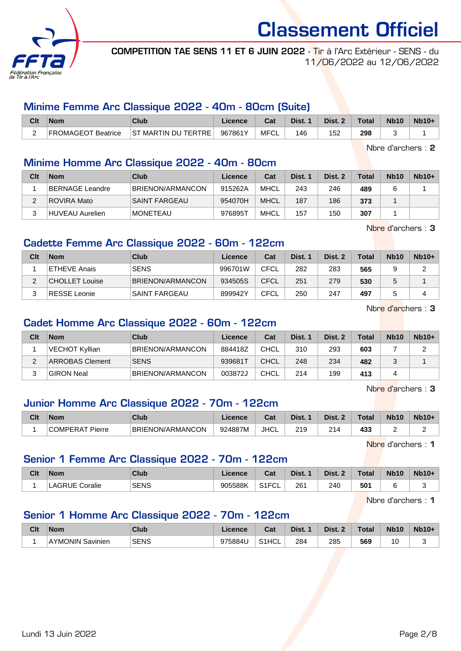

COMPETITION TAE SENS 11 ET 6 JUIN 2022 - Tir à l'Arc Extérieur - SENS - du 11/06/2022 au 12/06/2022

## Minime Femme Arc Classique 2022 - 40m - 80cm (Suite)

| Clt | <b>Nom</b>                | <b>Club</b>                | Licence | Cat  | Dist. | Dist. 2 | <b>Total</b> | <b>Nb10</b> | <b>Nb10+</b> |
|-----|---------------------------|----------------------------|---------|------|-------|---------|--------------|-------------|--------------|
|     | <b>FROMAGEOT Beatrice</b> | <b>ST MARTIN DU TERTRE</b> | 967861Y | MFCL | 46    | 152     | 298          |             |              |

Nbre d'archers : 2

## Minime Homme Arc Classique 2022 - 40m - 80cm

| Clt | <b>Nom</b>      | Club                    | Licence | Cat         | Dist. 1 | Dist. 2 | Total | <b>Nb10</b> | $Nb10+$ |
|-----|-----------------|-------------------------|---------|-------------|---------|---------|-------|-------------|---------|
|     | BERNAGE Leandre | <b>BRIENON/ARMANCON</b> | 915262A | MHCL        | 243     | 246     | 489   |             |         |
|     | ROVIRA Mato     | SAINT FARGEAU           | 954070H | <b>MHCL</b> | 187     | 186     | 373   |             |         |
|     | HUVEAU Aurelien | <b>MONETEAU</b>         | 976895T | MHCL        | 157     | 150     | 307   |             |         |

Nbre d'archers : 3

## Cadette Femme Arc Classique 2022 - 60m - 122cm

| Clt | <b>Nom</b>          | Club                 | Licence | Cat         | Dist. 1 | Dist. 2 | Total | <b>Nb10</b> | $Nb10+$ |
|-----|---------------------|----------------------|---------|-------------|---------|---------|-------|-------------|---------|
|     | <b>ETHEVE Anais</b> | <b>SENS</b>          | 996701W | CFCL        | 282     | 283     | 565   |             |         |
| C   | CHOLLET Louise      | BRIENON/ARMANCON     | 934505S | CFCL        | 251     | 279     | 530   |             |         |
| ົ   | <b>RESSE Leonie</b> | <b>SAINT FARGEAU</b> | 899942Y | <b>CFCL</b> | 250     | 247     | 497   |             |         |

Nbre d'archers : 3

#### Cadet Homme Arc Classique 2022 - 60m - 122cm

| Clt | <b>Nom</b>             | Club                    | Licence | Cat         | Dist. 1 | Dist. 2 | Total | <b>Nb10</b> | $Nb10+$ |
|-----|------------------------|-------------------------|---------|-------------|---------|---------|-------|-------------|---------|
|     | VECHOT Kyllian         | <b>BRIENON/ARMANCON</b> | 884418Z | <b>CHCL</b> | 310     | 293     | 603   |             |         |
|     | <b>ARROBAS Clement</b> | <b>SENS</b>             | 939681T | <b>CHCL</b> | 248     | 234     | 482   |             |         |
|     | <b>GIRON Neal</b>      | <b>BRIENON/ARMANCON</b> | 003872J | <b>CHCL</b> | 214     | 199     | 413   | $\sqrt{ }$  |         |

Nbre d'archers : 3

## Junior Homme Arc Classique 2022 - 70m - 122cm

| Clt | <b>Nom</b>      | Club             | Licence | $\sim$<br>⊍aι | Dist. | Dist. | Total | <b>Nb10</b> | <b>Nb10+</b> |
|-----|-----------------|------------------|---------|---------------|-------|-------|-------|-------------|--------------|
|     | COMPERAT Pierre | BRIENON/ARMANCON | 924887M | JHCL          | 219   | 214   | 433   |             | -            |

Nbre d'archers : 1

## Senior 1 Femme Arc Classique 2022 - 70m - 122cm

| Clt | <b>Nom</b>        | <b>Club</b> | Licence | <b>Cost</b><br>⊍م           | Dist.         | Dist.       | <b>Total</b> | <b>Nb10</b> | $Nb10+$ |
|-----|-------------------|-------------|---------|-----------------------------|---------------|-------------|--------------|-------------|---------|
|     | LAGRUE<br>Coralie | <b>SENS</b> | 905588K | $O(10^{-11})$<br>۱۱ ت<br>◡∟ | 261<br>$\sim$ | 240<br>____ | 501          |             |         |

Nbre d'archers : 1

## Senior 1 Homme Arc Classique 2022 - 70m - 122cm

| Clt | <b>Nom</b>              | Club        | <b>licence</b> | $\mathbf{A}$<br>⊍¤⊾ | Dist. | Dist. | <b>Total</b> | <b>Nb10</b> | <b>Nb10+</b> |
|-----|-------------------------|-------------|----------------|---------------------|-------|-------|--------------|-------------|--------------|
|     | <b>AYMONIN Savinien</b> | <b>SENS</b> | 975884U        | S1HCL               | 284   | 285   | 569          | 10          |              |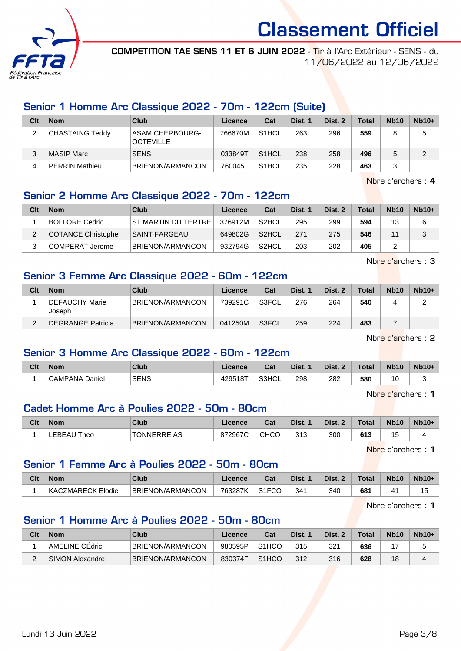

COMPETITION TAE SENS 11 ET 6 JUIN 2022 - Tir à l'Arc Extérieur - SENS - du 11/06/2022 au 12/06/2022

## Senior 1 Homme Arc Classique 2022 - 70m - 122cm (Suite)

| Clt | <b>Nom</b>            | Club                                       | Licence | Cat                | Dist. 1 | Dist. 2 | <b>Total</b> | <b>Nb10</b> | $Nb10+$ |
|-----|-----------------------|--------------------------------------------|---------|--------------------|---------|---------|--------------|-------------|---------|
| っ   | CHASTAING Teddy       | <b>ASAM CHERBOURG-</b><br><b>OCTEVILLE</b> | 766670M | S <sub>1</sub> HCL | 263     | 296     | 559          | 8           | 5       |
| 3   | <b>MASIP Marc</b>     | <b>SENS</b>                                | 033849T | S <sub>1</sub> HCL | 238     | 258     | 496          | 5           | 2       |
| 4   | <b>PERRIN Mathieu</b> | BRIENON/ARMANCON                           | 760045L | S <sub>1</sub> HCL | 235     | 228     | 463          | 3           |         |

Nbre d'archers : 4

## Senior 2 Homme Arc Classique 2022 - 70m - 122cm

| Clt | <b>Nom</b>         | Club                       | Licence | Cat                | Dist. 1 | Dist. 2 | Total | <b>Nb10</b> | $Nb10+$ |
|-----|--------------------|----------------------------|---------|--------------------|---------|---------|-------|-------------|---------|
|     | BOLLORE Cedric     | <b>ST MARTIN DU TERTRE</b> | 376912M | S <sub>2</sub> HCL | 295     | 299     | 594   | 13          | 6       |
|     | COTANCE Christophe | SAINT FARGEAU              | 649802G | S <sub>2</sub> HCL | 271     | 275     | 546   | 11          | ◠<br>ບ  |
|     | COMPERAT Jerome    | <b>BRIENON/ARMANCON</b>    | 932794G | S <sub>2</sub> HCL | 203     | 202     | 405   |             |         |

Nbre d'archers : 3

#### Senior 3 Femme Arc Classique 2022 - 60m - 122cm

| Clt | <b>Nom</b>               | Club                    | Licence | Cat   | Dist. 1 | Dist. 2 | <b>Total</b> | <b>Nb10</b> | $Nb10+$ |
|-----|--------------------------|-------------------------|---------|-------|---------|---------|--------------|-------------|---------|
|     | DEFAUCHY Marie<br>Joseph | <b>BRIENON/ARMANCON</b> | 739291C | S3FCL | 276     | 264     | 540          |             |         |
| ◠   | DEGRANGE Patricia        | <b>BRIENON/ARMANCON</b> | 041250M | S3FCL | 259     | 224     | 483          |             |         |

Nbre d'archers : 2

## Senior 3 Homme Arc Classique 2022 - 60m - 122cm

| Clt | <b>Nom</b>     | Club        | Licence | Cat   | Dist. | Dist. | <b>Total</b> | <b>Nb10</b> | $Nb10+$ |
|-----|----------------|-------------|---------|-------|-------|-------|--------------|-------------|---------|
|     | CAMPANA Daniel | <b>SENS</b> | 429518T | S3HCL | 298   | 282   | 580          | 10          | ີ       |

Nbre d'archers : 1

#### Cadet Homme Arc à Poulies 2022 - 50m - 80cm

| Clt | <b>Nom</b>          | Club                  | <b>Licence</b> | $R_{\rm{eff}}$<br>⊍d | Dist. | Dist. | <b>Total</b> | <b>Nb10</b> | $Nb10+$ |
|-----|---------------------|-----------------------|----------------|----------------------|-------|-------|--------------|-------------|---------|
|     | FBFAU<br>$\tau$ heo | <b>TONNERRE</b><br>AS | 872967C        | CHCC                 | 313   | 300   | 613          | . .<br>ں ،  |         |

Nbre d'archers : 1

#### Senior 1 Femme Arc à Poulies 2022 - 50m - 80cm

| Clt | <b>Nom</b>           | Club             | Licence | Cat                            | Dist. | Dist. | <b>Total</b> | <b>Nb10</b> | <b>Nb10+</b> |
|-----|----------------------|------------------|---------|--------------------------------|-------|-------|--------------|-------------|--------------|
|     | KACZMARECK<br>Elodie | BRIENON/ARMANCON | 763287K | S <sub>1</sub> F <sub>CO</sub> | 341   | 340   | 681          |             | ں ا          |

Nbre d'archers : 1

### Senior 1 Homme Arc à Poulies 2022 - 50m - 80cm

| Clt | <b>Nom</b>      | Club             | Licence | Cat                | Dist. | Dist. 2 | Total | <b>Nb10</b> | $Nb10+$ |
|-----|-----------------|------------------|---------|--------------------|-------|---------|-------|-------------|---------|
|     | AMELINE CEdric  | BRIENON/ARMANCON | 980595P | S <sub>1</sub> HCO | 315   | 321     | 636   |             |         |
|     | SIMON Alexandre | BRIENON/ARMANCON | 830374F | S <sub>1</sub> HCO | 312   | 316     | 628   | 18          | 4       |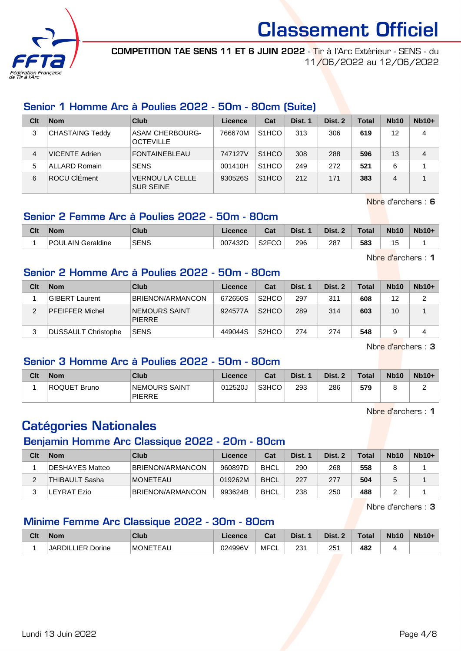

COMPETITION TAE SENS 11 ET 6 JUIN 2022 - Tir à l'Arc Extérieur - SENS - du 11/06/2022 au 12/06/2022

### Senior 1 Homme Arc à Poulies 2022 - 50m - 80cm (Suite)

| Clt | <b>Nom</b>             | Club                                       | Licence | Cat                            | Dist. 1 | Dist. 2 | <b>Total</b> | <b>Nb10</b> | $Nb10+$ |
|-----|------------------------|--------------------------------------------|---------|--------------------------------|---------|---------|--------------|-------------|---------|
| 3   | <b>CHASTAING Teddy</b> | <b>ASAM CHERBOURG-</b><br><b>OCTEVILLE</b> | 766670M | S <sub>1</sub> H <sub>CO</sub> | 313     | 306     | 619          | 12          | 4       |
| 4   | <b>VICENTE Adrien</b>  | <b>FONTAINEBLEAU</b>                       | 747127V | S <sub>1</sub> HCO             | 308     | 288     | 596          | 13          | 4       |
| 5   | <b>ALLARD Romain</b>   | <b>SENS</b>                                | 001410H | S <sub>1</sub> H <sub>CO</sub> | 249     | 272     | 521          | 6           |         |
| 6   | ROCU CIÉment           | <b>VERNOU LA CELLE</b><br><b>SUR SEINE</b> | 930526S | S <sub>1</sub> H <sub>CO</sub> | 212     | 171     | 383          | 4           |         |

Nbre d'archers : 6

### Senior 2 Femme Arc à Poulies 2022 - 50m - 80cm

| Clt | <b>Nom</b>              | Club        | icence  | نہ م<br>⊍dl        | Dist. | Dist. | <b>Total</b> | <b>Nb10</b> | $Nb10+$ |
|-----|-------------------------|-------------|---------|--------------------|-------|-------|--------------|-------------|---------|
|     | DC<br>POULAIN Geraldine | <b>SENS</b> | 007432D | S <sub>2</sub> FCO | 296   | 287   | 583          | л<br>ں      |         |

Nbre d'archers : 1

#### Senior 2 Homme Arc à Poulies 2022 - 50m - 80cm

| Clt | <b>Nom</b>                 | Club                                   | Licence | Cat                            | Dist. 1 | Dist. 2 | <b>Total</b> | <b>Nb10</b> | $Nb10+$ |
|-----|----------------------------|----------------------------------------|---------|--------------------------------|---------|---------|--------------|-------------|---------|
|     | <b>GIBERT Laurent</b>      | BRIENON/ARMANCON                       | 672650S | S <sub>2</sub> HCO             | 297     | 311     | 608          | 12          | 2       |
|     | <b>PFEIFFER Michel</b>     | <b>INEMOURS SAINT</b><br><b>PIERRE</b> | 924577A | S <sub>2</sub> HCO             | 289     | 314     | 603          | 10          |         |
| 2   | <b>DUSSAULT Christophe</b> | <b>SENS</b>                            | 449044S | S <sub>2</sub> H <sub>CO</sub> | 274     | 274     | 548          |             |         |

Nbre d'archers : 3

## Senior 3 Homme Arc à Poulies 2022 - 50m - 80cm

| Clt | <b>Nom</b>   | Club                           | Licence | Cat   | Dist. 1 | Dist. 2 | <b>Total</b> | <b>Nb10</b> | $Nb10+$ |
|-----|--------------|--------------------------------|---------|-------|---------|---------|--------------|-------------|---------|
|     | ROQUET Bruno | NEMOURS SAINT<br><b>PIERRE</b> | 012520J | S3HCO | 293     | 286     | 579          |             |         |

Nbre d'archers : 1

## Catégories Nationales

#### Benjamin Homme Arc Classique 2022 - 20m - 80cm

| Clt | <b>Nom</b>            | Club             | Licence | Cat         | Dist. 1 | Dist. 2 | Total | <b>Nb10</b> | $Nb10+$ |
|-----|-----------------------|------------------|---------|-------------|---------|---------|-------|-------------|---------|
|     | DESHAYES Matteo       | BRIENON/ARMANCON | 960897D | <b>BHCL</b> | 290     | 268     | 558   |             |         |
|     | <b>THIBAULT Sasha</b> | <b>IMONETEAU</b> | 019262M | <b>BHCL</b> | 227     | 277     | 504   |             |         |
|     | LEYRAT Ezio           | BRIENON/ARMANCON | 993624B | <b>BHCL</b> | 238     | 250     | 488   |             |         |

Nbre d'archers : 3

## Minime Femme Arc Classique 2022 - 30m - 80cm

| Clt | <b>Nom</b>               | Club            | .icence | <b>Dol</b><br>ua | Dist.            | Dist. | Total | <b>Nb10</b> | $Nb10+$ |
|-----|--------------------------|-----------------|---------|------------------|------------------|-------|-------|-------------|---------|
|     | .IER<br>JARDIL<br>Dorine | <b>MONETEAU</b> | 024996V | ∴ MFC.<br>◡∟     | $\Omega$<br>ا ت∠ | 251   | 482   |             |         |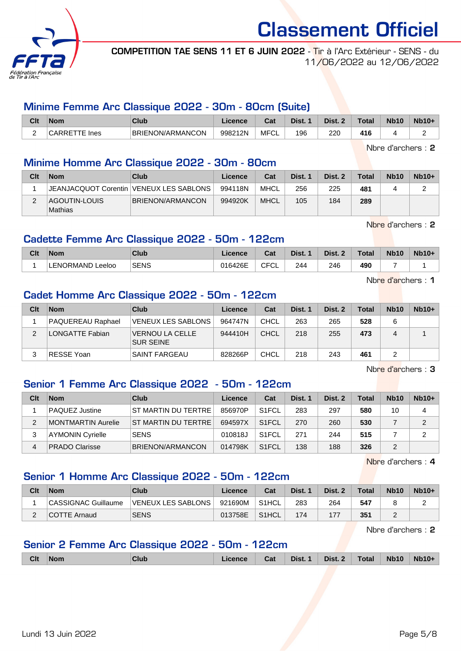

COMPETITION TAE SENS 11 ET 6 JUIN 2022 - Tir à l'Arc Extérieur - SENS - du 11/06/2022 au 12/06/2022

## Minime Femme Arc Classique 2022 - 30m - 80cm (Suite)

| Clt | Nom              | Club             | icence  | Cat    | Dist. | Dist. | $\tau$ otal | <b>Nb10</b> | $Nb10+$ |
|-----|------------------|------------------|---------|--------|-------|-------|-------------|-------------|---------|
| -   | Ines<br><u>—</u> | BRIENON/ARMANCON | 998212N | ∴ MFC' | 196   | 220   | 416         |             |         |

Nbre d'archers : 2

## Minime Homme Arc Classique 2022 - 30m - 80cm

| Clt | <b>Nom</b>               | Club                                             | Licence | Cat  | Dist. 1 | Dist. 2 | Total | <b>Nb10</b> | $Nb10+$ |
|-----|--------------------------|--------------------------------------------------|---------|------|---------|---------|-------|-------------|---------|
|     |                          | <b>JEANJACQUOT Corentin   VENEUX LES SABLONS</b> | 994118N | MHCL | 256     | 225     | 481   |             |         |
|     | AGOUTIN-LOUIS<br>Mathias | BRIENON/ARMANCON                                 | 994920K | MHCL | 105     | 184     | 289   |             |         |

Nbre d'archers : 2

## Cadette Femme Arc Classique 2022 - 50m - 122cm

| Clt | <b>Nom</b>          | <b>Club</b> | ∟icence | Cat      | Dist. | Dist. 2 | <b>Total</b> | <b>Nb10</b> | $Nb10+$ |
|-----|---------------------|-------------|---------|----------|-------|---------|--------------|-------------|---------|
|     | LENORMAND<br>Leeloo | <b>SENS</b> | 016426E | ັບ∟<br>◡ | 244   | 246     | 490          |             |         |

Nbre d'archers : 1

## Cadet Homme Arc Classique 2022 - 50m - 122cm

| Clt | <b>Nom</b>               | Club                                | Licence | Cat         | Dist. 1 | Dist. 2 | <b>Total</b> | <b>Nb10</b> | $Nb10+$ |
|-----|--------------------------|-------------------------------------|---------|-------------|---------|---------|--------------|-------------|---------|
|     | <b>PAQUEREAU Raphael</b> | <b>VENEUX LES SABLONS</b>           | 964747N | CHCL        | 263     | 265     | 528          |             |         |
|     | <b>LONGATTE Fabian</b>   | VERNOU LA CELLE<br><b>SUR SEINE</b> | 944410H | CHCL        | 218     | 255     | 473          | 4           |         |
|     | <b>RESSE Yoan</b>        | <b>SAINT FARGEAU</b>                | 828266P | <b>CHCL</b> | 218     | 243     | 461          |             |         |

Nbre d'archers : 3

## Senior 1 Femme Arc Classique 2022 - 50m - 122cm

| Clt | <b>Nom</b>            | <b>Club</b>         | Licence | Cat                | Dist. 1 | Dist. 2 | <b>Total</b> | <b>Nb10</b> | $Nb10+$        |
|-----|-----------------------|---------------------|---------|--------------------|---------|---------|--------------|-------------|----------------|
|     | PAQUEZ Justine        | ST MARTIN DU TERTRE | 856970P | S <sub>1</sub> FCL | 283     | 297     | 580          | 10          | 4              |
| 2   | MONTMARTIN Aurelie    | ST MARTIN DU TERTRE | 694597X | S <sub>1</sub> FCL | 270     | 260     | 530          |             | $\overline{2}$ |
| 3   | AYMONIN Cyrielle      | <b>SENS</b>         | 010818J | S <sub>1</sub> FCL | 271     | 244     | 515          |             | $\overline{2}$ |
| 4   | <b>PRADO Clarisse</b> | BRIENON/ARMANCON    | 014798K | S <sub>1</sub> FCL | 138     | 188     | 326          |             |                |

Nbre d'archers : 4

## Senior 1 Homme Arc Classique 2022 - 50m - 122cm

| Clt | Nom                 | Club               | Licence | Cat                | Dist. 1 | Dist. 2 | <b>Total</b> | <b>Nb10</b> | $Nb10+$ |
|-----|---------------------|--------------------|---------|--------------------|---------|---------|--------------|-------------|---------|
|     | CASSIGNAC Guillaume | VENEUX LES SABLONS | 921690M | S <sub>1</sub> HCL | 283     | 264     | 547          |             |         |
|     | COTTE Arnaud        | <b>SENS</b>        | 013758E | S <sub>1</sub> HCL | 174     |         | 351          |             |         |

Nbre d'archers : 2

## Senior 2 Femme Arc Classique 2022 - 50m - 122cm

| <b>Clt</b><br>Dist. 2<br>Dist.<br><b>Nb10</b><br><b>Nb10+</b><br><b>Total</b><br>Cat<br>Club<br>$\blacksquare$<br>  Nom<br>Licence |
|------------------------------------------------------------------------------------------------------------------------------------|
|------------------------------------------------------------------------------------------------------------------------------------|

Lundi 13 Juin 2022 Page 5/8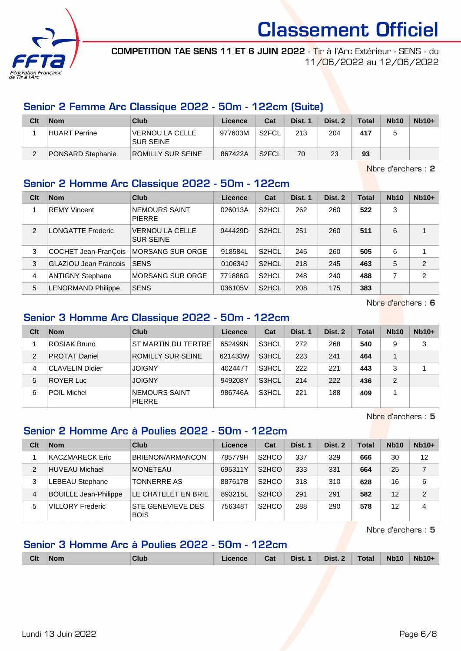

COMPETITION TAE SENS 11 ET 6 JUIN 2022 - Tir à l'Arc Extérieur - SENS - du 11/06/2022 au 12/06/2022

## Senior 2 Femme Arc Classique 2022 - 50m - 122cm (Suite)

| Clt | <b>Nom</b>        | Club                                | Licence | Cat                | Dist. 1 | Dist. 2 | <b>Total</b> | <b>Nb10</b> | $Nb10+$ |
|-----|-------------------|-------------------------------------|---------|--------------------|---------|---------|--------------|-------------|---------|
|     | HUART Perrine     | VERNOU LA CELLE<br><b>SUR SEINE</b> | 977603M | S <sub>2</sub> FCL | 213     | 204     | 417          |             |         |
|     | PONSARD Stephanie | ROMILLY SUR SEINE                   | 867422A | S <sub>2</sub> FCL | 70      | 23      | 93           |             |         |

Nbre d'archers : 2

## Senior 2 Homme Arc Classique 2022 - 50m - 122cm

| Clt           | <b>Nom</b>                   | Club                                       | Licence | Cat                | Dist. 1 | Dist. 2 | <b>Total</b> | <b>Nb10</b> | $Nb10+$        |
|---------------|------------------------------|--------------------------------------------|---------|--------------------|---------|---------|--------------|-------------|----------------|
|               | <b>REMY Vincent</b>          | NEMOURS SAINT<br><b>PIERRE</b>             | 026013A | S <sub>2</sub> HCL | 262     | 260     | 522          | 3           |                |
| $\mathcal{P}$ | <b>LONGATTE Frederic</b>     | <b>VERNOU LA CELLE</b><br><b>SUR SEINE</b> | 944429D | S <sub>2</sub> HCL | 251     | 260     | 511          | 6           | $\overline{ }$ |
| 3             | <b>COCHET Jean-FranCois</b>  | <b>MORSANG SUR ORGE</b>                    | 918584L | S <sub>2</sub> HCL | 245     | 260     | 505          | 6           |                |
| 3             | <b>GLAZIOU Jean Francois</b> | <b>SENS</b>                                | 010634J | S <sub>2</sub> HCL | 218     | 245     | 463          | 5           | 2              |
| 4             | <b>ANTIGNY Stephane</b>      | <b>MORSANG SUR ORGE</b>                    | 771886G | S <sub>2</sub> HCL | 248     | 240     | 488          |             | $\overline{2}$ |
| 5             | <b>LENORMAND Philippe</b>    | <b>SENS</b>                                | 036105V | S <sub>2</sub> HCL | 208     | 175     | 383          |             |                |

Nbre d'archers : 6

## Senior 3 Homme Arc Classique 2022 - 50m - 122cm

| Clt | <b>Nom</b>           | Club                                  | Licence | Cat   | Dist. 1 | Dist. 2 | Total | <b>Nb10</b> | $Nb10+$ |
|-----|----------------------|---------------------------------------|---------|-------|---------|---------|-------|-------------|---------|
|     | ROSIAK Bruno         | ST MARTIN DU TERTRE                   | 652499N | S3HCL | 272     | 268     | 540   | 9           | 3       |
| 2   | <b>PROTAT Daniel</b> | ROMILLY SUR SEINE                     | 621433W | S3HCL | 223     | 241     | 464   |             |         |
| 4   | CLAVELIN Didier      | <b>JOIGNY</b>                         | 402447T | S3HCL | 222     | 221     | 443   | 3           |         |
| 5   | <b>ROYER Luc</b>     | <b>JOIGNY</b>                         | 949208Y | S3HCL | 214     | 222     | 436   | 2           |         |
| 6   | POIL Michel          | <b>NEMOURS SAINT</b><br><b>PIERRE</b> | 986746A | S3HCL | 221     | 188     | 409   |             |         |

Nbre d'archers : 5

## Senior 2 Homme Arc à Poulies 2022 - 50m - 122cm

| Clt | <b>Nom</b>                   | Club                             | Licence | Cat                | Dist. 1 | Dist. 2 | Total | <b>Nb10</b> | $Nb10+$        |
|-----|------------------------------|----------------------------------|---------|--------------------|---------|---------|-------|-------------|----------------|
|     | KACZMARECK Eric              | <b>BRIENON/ARMANCON</b>          | 785779H | S <sub>2</sub> HCO | 337     | 329     | 666   | 30          | 12             |
| 2   | HUVEAU Michael               | <b>MONETEAU</b>                  | 695311Y | S <sub>2</sub> HCO | 333     | 331     | 664   | 25          | 7              |
| 3   | <b>LEBEAU Stephane</b>       | <b>TONNERRE AS</b>               | 887617B | S <sub>2</sub> HCO | 318     | 310     | 628   | 16          | 6              |
| 4   | <b>BOUILLE Jean-Philippe</b> | LE CHATELET EN BRIE              | 893215L | S <sub>2</sub> HCO | 291     | 291     | 582   | 12          | $\overline{2}$ |
| 5   | <b>VILLORY Frederic</b>      | STE GENEVIEVE DES<br><b>BOIS</b> | 756348T | S <sub>2</sub> HCO | 288     | 290     | 578   | 12          | 4              |

Nbre d'archers : 5

## Senior 3 Homme Arc à Poulies 2022 - 50m - 122cm

| Cat<br><b>Clt</b><br>Dist. 1<br>Dist. 2<br><b>Nb10</b><br><b>Nb10+</b><br><b>Total</b><br><b>Club</b><br><b>Nom</b><br>Licence |
|--------------------------------------------------------------------------------------------------------------------------------|
|--------------------------------------------------------------------------------------------------------------------------------|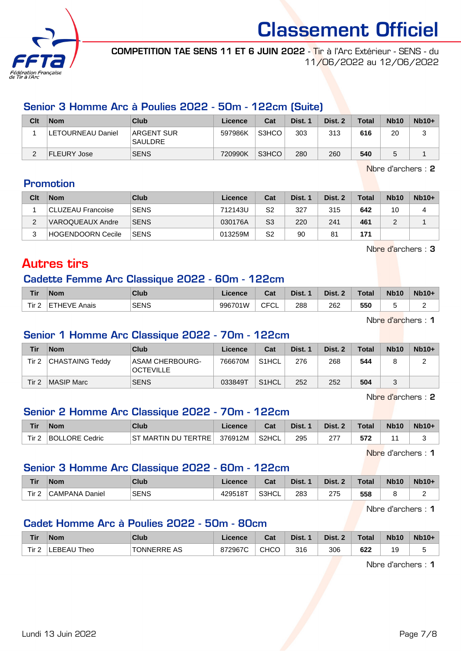

COMPETITION TAE SENS 11 ET 6 JUIN 2022 - Tir à l'Arc Extérieur - SENS - du 11/06/2022 au 12/06/2022

## Senior 3 Homme Arc à Poulies 2022 - 50m - 122cm (Suite)

| Clt | <b>Nom</b>               | Club                                | Licence | Cat   | Dist. 1 | Dist. 2 | <b>Total</b> | <b>Nb10</b> | $Nb10+$ |
|-----|--------------------------|-------------------------------------|---------|-------|---------|---------|--------------|-------------|---------|
|     | <b>LETOURNEAU Daniel</b> | <b>ARGENT SUR</b><br><b>SAULDRE</b> | 597986K | S3HCO | 303     | 313     | 616          | 20          | J       |
|     | FLEURY Jose              | <b>SENS</b>                         | 720990K | S3HCO | 280     | 260     | 540          |             |         |

Nbre d'archers : 2

## Promotion

| Clt | <b>Nom</b>        | Club        | Licence | Cat | Dist. 1 | Dist. 2 | <b>Total</b> | <b>Nb10</b> | $Nb10+$ |
|-----|-------------------|-------------|---------|-----|---------|---------|--------------|-------------|---------|
|     | CLUZEAU Francoise | <b>SENS</b> | 712143U | S2  | 327     | 315     | 642          | 10          |         |
| C   | VAROQUEAUX Andre  | <b>SENS</b> | 030176A | S3  | 220     | 241     | 461          |             |         |
| C   | HOGENDOORN Cecile | <b>SENS</b> | 013259M | S2  | 90      | 81      | 171          |             |         |

Nbre d'archers : 3

## Autres tirs

#### Cadette Femme Arc Classique 2022 - 60m - 122cm

| <b>Tir</b>       | <b>Nom</b>                                                 | Club        | nce     | $R_{\rm eff}$<br>val | Dist. | Dist. | <b>Total</b> | <b>Nb10</b> | $Nb10+$ |
|------------------|------------------------------------------------------------|-------------|---------|----------------------|-------|-------|--------------|-------------|---------|
| Tir <sub>2</sub> | FTHEVE<br>Anais<br><u>ь н</u><br>$\mathbf{v}$ $\mathbf{v}$ | <b>SENS</b> | 996701W | <b>CFCL</b>          | 288   | 262   | 550          |             |         |

Nbre d'archers : 1

## Senior 1 Homme Arc Classique 2022 - 70m - 122cm

| Tir   | <b>Nom</b>      | Club                                       | Licence | Cat                | Dist. 1 | Dist. 2 | <b>Total</b> | <b>Nb10</b> | $Nb10+$ |
|-------|-----------------|--------------------------------------------|---------|--------------------|---------|---------|--------------|-------------|---------|
| Tir 2 | CHASTAING Teddy | <b>ASAM CHERBOURG-</b><br><b>OCTEVILLE</b> | 766670M | S <sub>1</sub> HCL | 276     | 268     | 544          |             |         |
| Tir 2 | MASIP Marc      | <b>SENS</b>                                | 033849T | S <sub>1</sub> HCL | 252     | 252     | 504          |             |         |

Nbre d'archers : 2

## Senior 2 Homme Arc Classique 2022 - 70m - 122cm

| <b>Tir</b> | <b>Nom</b>           | Club                                 |         | יה<br>⊍aι | Dist. | Dist. | <b>Total</b> | <b>Nb10</b> | <b>Nb10+</b> |
|------------|----------------------|--------------------------------------|---------|-----------|-------|-------|--------------|-------------|--------------|
| Tir 2      | ∣BOLLORE (<br>Cedric | <b>TERTRE</b><br>ST<br>' MARTIN DU ' | 376912M | S2HCL     | 295   |       | 572          |             |              |

Nbre d'archers : 1

## Senior 3 Homme Arc Classique 2022 - 60m - 122cm

| <b>Tir</b> | <b>Nom</b>               | Club        | Licence | <b>Cost</b><br>⊍aι | Dist. | Dist.<br>$\sqrt{2}$ | Total | <b>Nb10</b> | <b>Nb10+</b> |
|------------|--------------------------|-------------|---------|--------------------|-------|---------------------|-------|-------------|--------------|
| Tir.       | <b>CAMPANA</b><br>Daniel | <b>SENS</b> | 429518T | S3HCL              | 283   | 275                 | 558   |             | ∽<br>-       |

Nbre d'archers : 1

## Cadet Homme Arc à Poulies 2022 - 50m - 80cm

| <b>Tir</b>       | Nom         | Club               | <b>Licence</b> | Cat         | Dist. | Dist. 2 | Total | <b>Nb10</b> | $Nb10+$ |
|------------------|-------------|--------------------|----------------|-------------|-------|---------|-------|-------------|---------|
| Tir <sub>2</sub> | LEBEAU Theo | <b>TONNERRE AS</b> | 872967C        | <b>CHCO</b> | 316   | 306     | 622   |             |         |

Nbre d'archers : 1